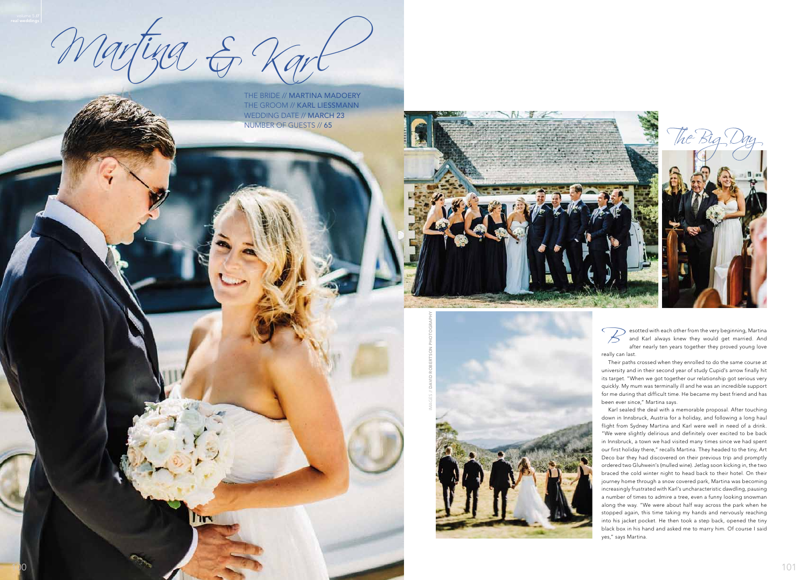100

Martina & Karl

**Tiry** 

Esotted with each other from the very beginning, Martina<br>and Karl always knew they would get married. And<br>after nearly ten years together they proved young love and Karl always knew they would get married. And after nearly ten years together they proved young love really can last.

Their paths crossed when they enrolled to do the same course at university and in their second year of study Cupid's arrow finally hit its target. "When we got together our relationship got serious very quickly. My mum was terminally ill and he was an incredible support for me during that difficult time. He became my best friend and has been ever since," Martina says.

Karl sealed the deal with a memorable proposal. After touching down in Innsbruck, Austria for a holiday, and following a long haul flight from Sydney Martina and Karl were well in need of a drink. "We were slightly delirious and definitely over excited to be back in Innsbruck, a town we had visited many times since we had spent our first holiday there," recalls Martina. They headed to the tiny, Art Deco bar they had discovered on their previous trip and promptly ordered two Gluhwein's (mulled wine). Jetlag soon kicking in, the two braced the cold winter night to head back to their hotel. On their journey home through a snow covered park, Martina was becoming increasingly frustrated with Karl's uncharacteristic dawdling, pausing a number of times to admire a tree, even a funny looking snowman along the way. "We were about half way across the park when he stopped again, this time taking my hands and nervously reaching into his jacket pocket. He then took a step back, opened the tiny black box in his hand and asked me to marry him. Of course I said yes," says Martina.

the bride // MARTINA MADOERY the groom // KARL LIESSMANN WEDDING DATE // MARCH 23 NUMBER OF GUESTS // 65



images // DAVID ROBERTSON PHOTOGRAPHY